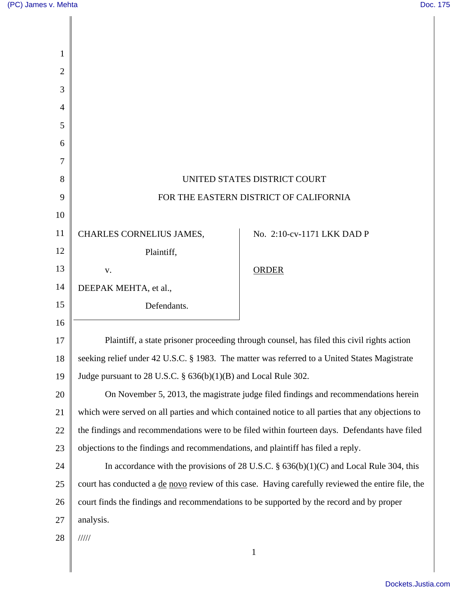| 8<br>UNITED STATES DISTRICT COURT                                                                              |                            |
|----------------------------------------------------------------------------------------------------------------|----------------------------|
| FOR THE EASTERN DISTRICT OF CALIFORNIA<br>9                                                                    |                            |
|                                                                                                                |                            |
| CHARLES CORNELIUS JAMES,                                                                                       | No. 2:10-cv-1171 LKK DAD P |
| Plaintiff,                                                                                                     |                            |
| V.                                                                                                             | <b>ORDER</b>               |
| DEEPAK MEHTA, et al.,                                                                                          |                            |
| Defendants.                                                                                                    |                            |
| 16                                                                                                             |                            |
| Plaintiff, a state prisoner proceeding through counsel, has filed this civil rights action<br>17               |                            |
| seeking relief under 42 U.S.C. § 1983. The matter was referred to a United States Magistrate<br>18             |                            |
| Judge pursuant to 28 U.S.C. $\S$ 636(b)(1)(B) and Local Rule 302.<br>19                                        |                            |
| 20<br>On November 5, 2013, the magistrate judge filed findings and recommendations herein                      |                            |
| 21<br>which were served on all parties and which contained notice to all parties that any objections to        |                            |
| 22<br>the findings and recommendations were to be filed within fourteen days. Defendants have filed            |                            |
| 23<br>objections to the findings and recommendations, and plaintiff has filed a reply.                         |                            |
| 24<br>In accordance with the provisions of 28 U.S.C. $\S$ 636(b)(1)(C) and Local Rule 304, this                |                            |
| 25<br>court has conducted a <u>de novo</u> review of this case. Having carefully reviewed the entire file, the |                            |
| court finds the findings and recommendations to be supported by the record and by proper<br>26                 |                            |
| analysis.                                                                                                      |                            |
| 11111                                                                                                          |                            |
| $\mathbf{1}$                                                                                                   |                            |
|                                                                                                                |                            |